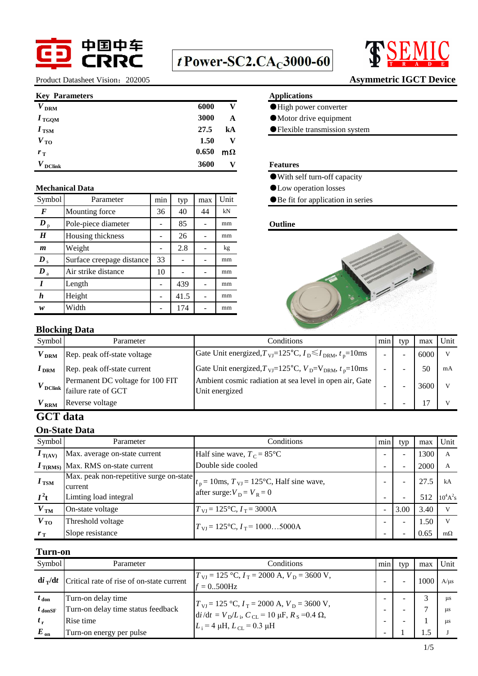

# $t$  Power-SC2.CA $_{C}$ 3000-60



Product Datasheet Vision: 202005 **Asymmetric IGCT Device** 

#### **Key Parameters Applications**

| $V_{\rm{DRM}}$    | 6000  |           |
|-------------------|-------|-----------|
| $I_{\text{TGQM}}$ | 3000  | A         |
| $I_{\text{TSM}}$  | 27.5  | kA        |
| $V_{\text{TO}}$   | 1.50  | v         |
| $r_{\rm T}$       | 0.650 | $m\Omega$ |
| <b>DClink</b>     | 3600  |           |

| Symbol                      | Parameter                 | min | typ  | max | Unit |
|-----------------------------|---------------------------|-----|------|-----|------|
| F                           | Mounting force            | 36  | 40   | 44  | kN   |
| $\bm{D}_{\mathrm{p}}$       | Pole-piece diameter       |     | 85   |     | mm   |
| H                           | Housing thickness         |     | 26   |     | mm   |
| m                           | Weight                    |     | 2.8  |     | kg   |
| $\boldsymbol{D}_{\text{s}}$ | Surface creepage distance | 33  |      |     | mm   |
| $\boldsymbol{D}_{\text{a}}$ | Air strike distance       |     |      |     | mm   |
| I                           | Length                    |     | 439  |     | mm   |
| h                           | Height                    |     | 41.5 |     | mm   |
| w                           | Width                     |     | 174  |     | mm   |

- ●High power converter
- ●Motor drive equipment
- **Flexible transmission system**

#### $$

- ●With self turn-off capacity
- **Mechanical Data** ●Low operation losses
	- ●Be fit for application in series

### **Outline**



# **Blocking Data**

| Symbol         | Parameter                                                                                             | Conditions                                                                                                                      | min | typ | max  | Unit |
|----------------|-------------------------------------------------------------------------------------------------------|---------------------------------------------------------------------------------------------------------------------------------|-----|-----|------|------|
| $V_{\rm{DRM}}$ | Rep. peak off-state voltage                                                                           | Gate Unit energized, $T_{\text{VI}} = 125^{\circ} \text{C}$ , $I_{\text{D}} \le I_{\text{DRM}}$ , $t_{\text{D}} = 10 \text{ms}$ | -   |     | 6000 |      |
| $I_{\rm{DRM}}$ | Rep. peak off-state current                                                                           | Gate Unit energized, $T_{VI}$ =125°C, $V_D$ = $V_{DRM}$ , $t_p$ =10ms                                                           |     |     | 50   | mA   |
|                | Permanent DC voltage for 100 FIT<br>$V_{\text{DClink}}$ $\Big  \overline{\text{failure}}$ rate of GCT | Ambient cosmic radiation at sea level in open air, Gate<br>Unit energized                                                       | -   |     | 3600 |      |
| $V_{\rm\,RRM}$ | Reverse voltage                                                                                       |                                                                                                                                 | -   |     |      |      |

# **GCT data**

### **On-State Data**

| Symbol                     | Parameter                                                                   | <b>Conditions</b>                                                                        | $\cdot$<br>min | typ                      | max         | Unit                                     |
|----------------------------|-----------------------------------------------------------------------------|------------------------------------------------------------------------------------------|----------------|--------------------------|-------------|------------------------------------------|
| $I_{\text{T(AV)}}$         | Max. average on-state current                                               | Half sine wave, $T_c = 85^{\circ}$ C                                                     | ۰              |                          | 1300        | A                                        |
| $I_{\text{T(RMS)}}$        | Max. RMS on-state current                                                   | Double side cooled                                                                       | -              | $\overline{\phantom{0}}$ | 2000        | А                                        |
| $I_{\text{TSM}}$<br>$I^2t$ | Max. peak non-repetitive surge on-state<br>current<br>Limting load integral | $t_p = 10$ ms, $T_{\text{VJ}} = 125$ °C, Half sine wave,<br>after surge: $V_D = V_R = 0$ |                |                          | 27.5<br>512 | kA<br>$10^4$ A <sup>2</sup> <sub>S</sub> |
| V <sub>TM</sub>            | On-state voltage                                                            | $T_{\text{VI}} = 125^{\circ}\text{C}, I_{\text{T}} = 3000\text{A}$                       |                | 3.00                     | 3.40        | v                                        |
| $V_{\text{TO}}$            | Threshold voltage                                                           |                                                                                          | Ξ.             | $\equiv$                 | 1.50        | V                                        |
| $r_{\rm T}$                | Slope resistance                                                            | $T_{\text{VI}} = 125^{\circ}\text{C}, I_{\text{T}} = 10005000\text{A}$                   |                | $\overline{\phantom{0}}$ | 0.65        | $m\Omega$                                |

# **Turn-on**

| Symbol                | Parameter                                 | Conditions                                                                                                                                                                                              | min | typ | max  | Unit       |
|-----------------------|-------------------------------------------|---------------------------------------------------------------------------------------------------------------------------------------------------------------------------------------------------------|-----|-----|------|------------|
| $di$ <sub>T</sub> /dt | Critical rate of rise of on-state current | $T_{\text{VI}} = 125 \text{ °C}, I_{\text{T}} = 2000 \text{ A}, V_{\text{D}} = 3600 \text{ V},$<br>$= 0.500 Hz$                                                                                         |     |     | 1000 | A/us       |
| $t_{\rm don}$         | Turn-on delay time                        |                                                                                                                                                                                                         | -   | -   |      | <b>LLS</b> |
| $t_{\text{donSF}}$    | Turn-on delay time status feedback        | $T_{\text{VI}}$ = 125 °C, $I_T$ = 2000 A, $V_D$ = 3600 V,<br>$\frac{\mathrm{d}i}{\mathrm{d}t} = V_{\mathrm{D}}/L_{\mathrm{i}}$ , $C_{\mathrm{CL}} = 10 \mu\mathrm{F}$ , $R_{\mathrm{S}} = 0.4 \Omega$ , | -   | -   |      | us         |
| $t_{r}$               | Rise time                                 | $L_i = 4 \mu H, L_{CL} = 0.3 \mu H$                                                                                                                                                                     | -   |     |      | us         |
| $E_{on}$              | Turn-on energy per pulse                  |                                                                                                                                                                                                         |     |     |      |            |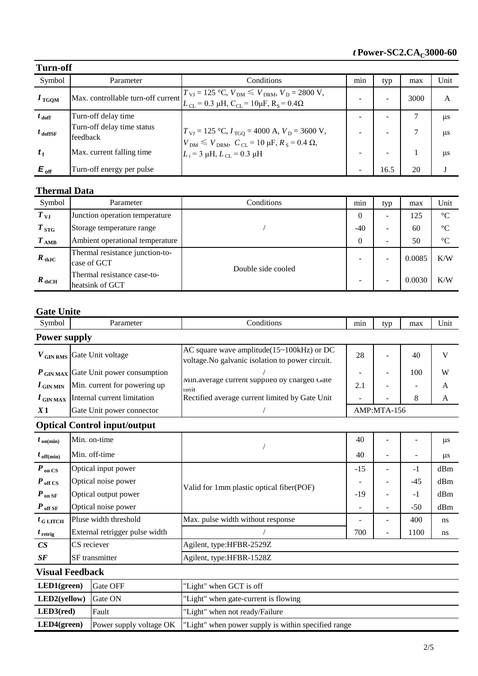| <b>Turn-off</b>     |                                        |                                                                                                                                                                                                                                          |                          |      |      |            |  |  |  |
|---------------------|----------------------------------------|------------------------------------------------------------------------------------------------------------------------------------------------------------------------------------------------------------------------------------------|--------------------------|------|------|------------|--|--|--|
| Symbol              | Parameter                              | Conditions                                                                                                                                                                                                                               | min                      | typ  | max  | Unit       |  |  |  |
| $I_{\text{TGQM}}$   |                                        | Max. controllable turn-off current $T_{VI} = 125 \degree C$ , $V_{DM} \leq V_{DRM}$ , $V_D = 2800 \text{ V}$ ,<br>$L_{\text{CL}} = 0.3 \text{ }\mu\text{H}, \text{ } C_{\text{CL}} = 10 \mu\text{F}, \text{ } R_{\text{S}} = 0.4 \Omega$ | -                        |      | 3000 | A          |  |  |  |
| $t_{\text{doff}}$   | Turn-off delay time                    |                                                                                                                                                                                                                                          | $\overline{\phantom{0}}$ |      |      | $\mu$ s    |  |  |  |
| $t_{\text{doffSF}}$ | Turn-off delay time status<br>feedback | $T_{\text{VI}} = 125 \text{ °C}, I_{\text{TGQ}} = 4000 \text{ A}, V_{\text{D}} = 3600 \text{ V},$<br>$V_{\text{DM}} \leq V_{\text{DRM}}, C_{\text{CL}} = 10 \text{ µF}, R_{\text{S}} = 0.4 \Omega,$                                      |                          |      |      | <b>LLS</b> |  |  |  |
| $t_{\rm f}$         | Max. current falling time              | $L_i = 3 \mu H, L_{CL} = 0.3 \mu H$                                                                                                                                                                                                      | $\overline{\phantom{0}}$ |      |      | us         |  |  |  |
| $E_{\text{off}}$    | Turn-off energy per pulse              |                                                                                                                                                                                                                                          |                          | 16.5 | 20   |            |  |  |  |

## **Thermal Data**

| Symbol            | Parameter                                      | Conditions         | min            | typ                      | max    | Unit            |
|-------------------|------------------------------------------------|--------------------|----------------|--------------------------|--------|-----------------|
| $T_{\rm{VJ}}$     | Junction operation temperature                 |                    | $\theta$       | -                        | 125    | $\rm ^{\circ}C$ |
| $T_{\, \rm STG}$  | Storage temperature range                      |                    | $-40$          | -                        | 60     | $^{\circ}C$     |
| $T_{\rm AMB}$     | Ambient operational temperature                |                    | $\overline{0}$ | ۰                        | 50     | $^{\circ}C$     |
| $R_{\text{thJC}}$ | Thermal resistance junction-to-<br>case of GCT | Double side cooled |                | $\overline{\phantom{0}}$ | 0.0085 | K/W             |
| $R_{\text{thCH}}$ | Thermal resistance case-to-<br>heatsink of GCT |                    |                | -                        | 0.0030 | K/W             |

# **Gate Unite**

| Symbol                  |                     | Parameter                                        | Conditions                                                                                             | min                      | typ                      | max   | Unit    |  |  |  |
|-------------------------|---------------------|--------------------------------------------------|--------------------------------------------------------------------------------------------------------|--------------------------|--------------------------|-------|---------|--|--|--|
|                         | <b>Power supply</b> |                                                  |                                                                                                        |                          |                          |       |         |  |  |  |
|                         |                     | $V$ <sub>GIN RMS</sub> Gate Unit voltage         | AC square wave amplitude( $15 \sim 100$ kHz) or DC<br>voltage. No galvanic isolation to power circuit. | 28                       |                          | 40    | V       |  |  |  |
|                         |                     | $P_{\text{GIN MAX}}$ Gate Unit power consumption |                                                                                                        |                          |                          | 100   | W       |  |  |  |
| $I$ GIN MIN             |                     | Min. current for powering up                     | Min.average current supplied by charged Gate<br>unit                                                   | 2.1                      |                          |       | A       |  |  |  |
| $I$ GIN MAX             |                     | Internal current limitation                      | Rectified average current limited by Gate Unit                                                         |                          |                          | 8     | A       |  |  |  |
| X1                      |                     | Gate Unit power connector                        |                                                                                                        |                          | AMP:MTA-156              |       |         |  |  |  |
|                         |                     | <b>Optical Control input/output</b>              |                                                                                                        |                          |                          |       |         |  |  |  |
| $t_{\text{on}(min)}$    |                     | Min. on-time                                     |                                                                                                        | 40                       |                          |       | $\mu$ s |  |  |  |
| $t_{\text{off}(min)}$   | Min. off-time       |                                                  |                                                                                                        | 40                       |                          | ÷     | $\mu$ s |  |  |  |
| $P_{on}$ CS             |                     | Optical input power                              |                                                                                                        | $-15$                    |                          | $-1$  | dBm     |  |  |  |
| $P_{\text{off CS}}$     |                     | Optical noise power                              | Valid for 1mm plastic optical fiber(POF)                                                               |                          |                          | $-45$ | dBm     |  |  |  |
| $P_{on \, SF}$          |                     | Optical output power                             |                                                                                                        | $-19$                    |                          | $-1$  | dBm     |  |  |  |
| $P_{\text{ off SF}}$    |                     | Optical noise power                              |                                                                                                        | $\overline{\phantom{a}}$ |                          | $-50$ | dBm     |  |  |  |
| $t_{G LITCH}$           |                     | Pluse width threshold                            | Max. pulse width without response                                                                      |                          |                          | 400   | ns      |  |  |  |
| $t_{\text{retrig}}$     |                     | External retrigger pulse width                   |                                                                                                        | 700                      | $\overline{\phantom{a}}$ | 1100  | ns      |  |  |  |
| CS                      | CS reciever         |                                                  | Agilent, type:HFBR-2529Z                                                                               |                          |                          |       |         |  |  |  |
| SF                      |                     | SF transmitter                                   | Agilent, type:HFBR-1528Z                                                                               |                          |                          |       |         |  |  |  |
| <b>Visual Feedback</b>  |                     |                                                  |                                                                                                        |                          |                          |       |         |  |  |  |
| LED1(green)<br>Gate OFF |                     |                                                  | "Light" when GCT is off                                                                                |                          |                          |       |         |  |  |  |
| LED2(yellow)<br>Gate ON |                     |                                                  | "Light" when gate-current is flowing                                                                   |                          |                          |       |         |  |  |  |
| LED3(red)               |                     | Fault                                            | "Light" when not ready/Failure                                                                         |                          |                          |       |         |  |  |  |
| LED4(green)             |                     | Power supply voltage OK                          | "Light" when power supply is within specified range                                                    |                          |                          |       |         |  |  |  |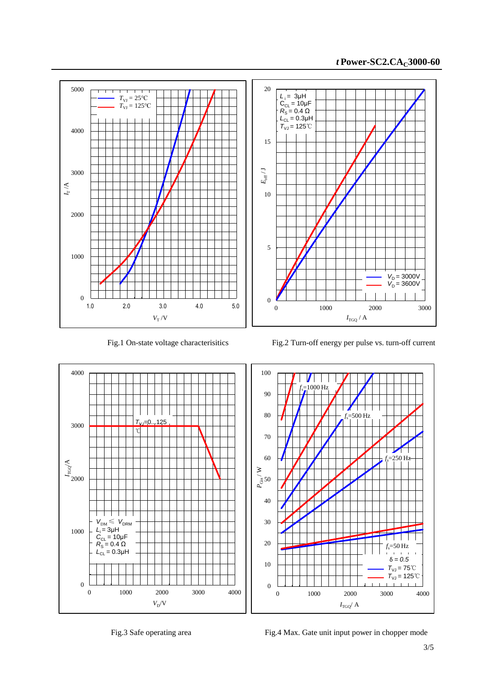



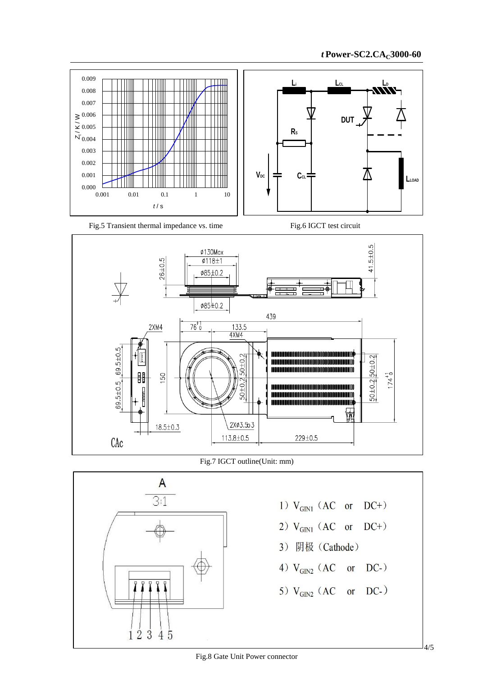

Fig.5 Transient thermal impedance vs. time Fig.6 IGCT test circuit





Fig.7 IGCT outline(Unit: mm)